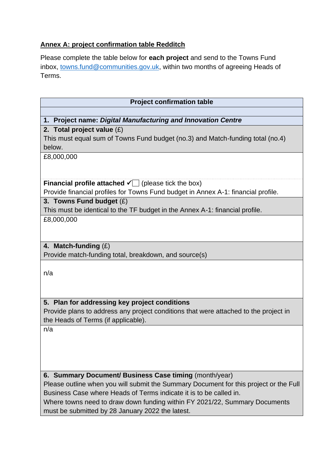# **Annex A: project confirmation table Redditch**

Please complete the table below for **each project** and send to the Towns Fund inbox, [towns.fund@communities.gov.uk,](mailto:towns.fund@communities.gov.uk) within two months of agreeing Heads of Terms.

| <b>Project confirmation table</b>                                                     |  |  |
|---------------------------------------------------------------------------------------|--|--|
|                                                                                       |  |  |
| 1. Project name: Digital Manufacturing and Innovation Centre                          |  |  |
| 2. Total project value $(E)$                                                          |  |  |
| This must equal sum of Towns Fund budget (no.3) and Match-funding total (no.4)        |  |  |
| below.                                                                                |  |  |
| £8,000,000                                                                            |  |  |
|                                                                                       |  |  |
|                                                                                       |  |  |
| <b>Financial profile attached <math>\checkmark</math> (please tick the box)</b>       |  |  |
| Provide financial profiles for Towns Fund budget in Annex A-1: financial profile.     |  |  |
| 3. Towns Fund budget $(E)$                                                            |  |  |
| This must be identical to the TF budget in the Annex A-1: financial profile.          |  |  |
| £8,000,000                                                                            |  |  |
|                                                                                       |  |  |
|                                                                                       |  |  |
| 4. Match-funding $(E)$                                                                |  |  |
| Provide match-funding total, breakdown, and source(s)                                 |  |  |
|                                                                                       |  |  |
| n/a                                                                                   |  |  |
|                                                                                       |  |  |
|                                                                                       |  |  |
| 5. Plan for addressing key project conditions                                         |  |  |
| Provide plans to address any project conditions that were attached to the project in  |  |  |
| the Heads of Terms (if applicable).                                                   |  |  |
| n/a                                                                                   |  |  |
|                                                                                       |  |  |
|                                                                                       |  |  |
|                                                                                       |  |  |
|                                                                                       |  |  |
| 6. Summary Document/ Business Case timing (month/year)                                |  |  |
| Please outline when you will submit the Summary Document for this project or the Full |  |  |
| Business Case where Heads of Terms indicate it is to be called in.                    |  |  |
| Where towns need to draw down funding within FY 2021/22, Summary Documents            |  |  |
| must be submitted by 28 January 2022 the latest.                                      |  |  |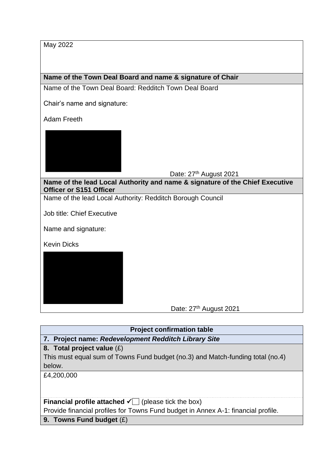May 2022

**Name of the Town Deal Board and name & signature of Chair**

Name of the Town Deal Board: Redditch Town Deal Board

Chair's name and signature:

Adam Freeth



Date: 27<sup>th</sup> August 2021

**Name of the lead Local Authority and name & signature of the Chief Executive Officer or S151 Officer**

Name of the lead Local Authority: Redditch Borough Council

Job title: Chief Executive

Name and signature:

Kevin Dicks



Date: 27<sup>th</sup> August 2021

# **Project confirmation table**

**7. Project name:** *Redevelopment Redditch Library Site*

# **8. Total project value** (£)

This must equal sum of Towns Fund budget (no.3) and Match-funding total (no.4) below.

£4,200,000

# **Financial profile attached**  $\sqrt{\phantom{a}}$  **(please tick the box)**

Provide financial profiles for Towns Fund budget in Annex A-1: financial profile.

**9. Towns Fund budget** (£)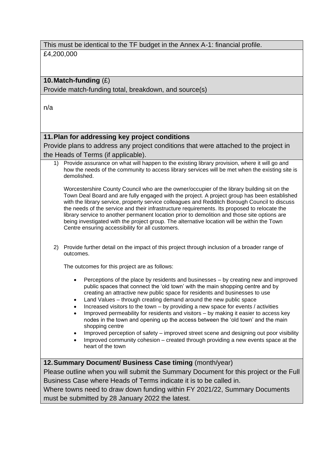This must be identical to the TF budget in the Annex A-1: financial profile. £4,200,000

# **10.Match-funding** (£)

Provide match-funding total, breakdown, and source(s)

n/a

# **11.Plan for addressing key project conditions**

Provide plans to address any project conditions that were attached to the project in the Heads of Terms (if applicable).

1) Provide assurance on what will happen to the existing library provision, where it will go and how the needs of the community to access library services will be met when the existing site is demolished.

Worcestershire County Council who are the owner/occupier of the library building sit on the Town Deal Board and are fully engaged with the project. A project group has been established with the library service, property service colleagues and Redditch Borough Council to discuss the needs of the service and their infrastructure requirements. Its proposed to relocate the library service to another permanent location prior to demolition and those site options are being investigated with the project group. The alternative location will be within the Town Centre ensuring accessibility for all customers.

2) Provide further detail on the impact of this project through inclusion of a broader range of outcomes.

The outcomes for this project are as follows:

- Perceptions of the place by residents and businesses by creating new and improved public spaces that connect the 'old town' with the main shopping centre and by creating an attractive new public space for residents and businesses to use
- Land Values through creating demand around the new public space
- Increased visitors to the town by providing a new space for events / activities
- Improved permeability for residents and visitors by making it easier to access key nodes in the town and opening up the access between the 'old town' and the main shopping centre
- Improved perception of safety improved street scene and designing out poor visibility
- Improved community cohesion created through providing a new events space at the heart of the town

#### **12.Summary Document/ Business Case timing** (month/year)

Please outline when you will submit the Summary Document for this project or the Full Business Case where Heads of Terms indicate it is to be called in.

Where towns need to draw down funding within FY 2021/22, Summary Documents must be submitted by 28 January 2022 the latest.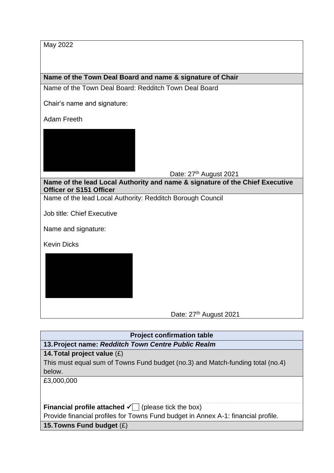May 2022

**Name of the Town Deal Board and name & signature of Chair**

Name of the Town Deal Board: Redditch Town Deal Board

Chair's name and signature:

Adam Freeth



**Name of the lead Local Authority and name & signature of the Chief Executive Officer or S151 Officer**

Name of the lead Local Authority: Redditch Borough Council

Job title: Chief Executive

Name and signature:

Kevin Dicks

Date: 27<sup>th</sup> August 2021

**Project confirmation table 13.Project name:** *Redditch Town Centre Public Realm*

# **14.Total project value** (£)

This must equal sum of Towns Fund budget (no.3) and Match-funding total (no.4) below.

£3,000,000

**Financial profile attached**  $\sqrt{\phantom{a}}$  **(please tick the box)** 

Provide financial profiles for Towns Fund budget in Annex A-1: financial profile.

**15.Towns Fund budget** (£)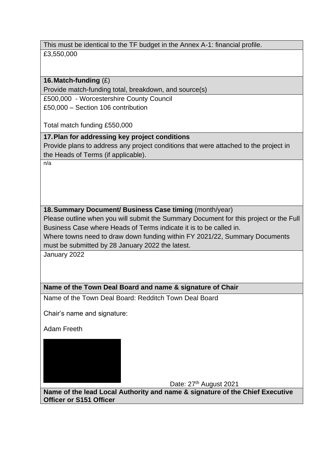This must be identical to the TF budget in the Annex A-1: financial profile. £3,550,000

### **16.Match-funding** (£)

Provide match-funding total, breakdown, and source(s)

£500,000 - Worcestershire County Council

£50,000 – Section 106 contribution

Total match funding £550,000

# **17.Plan for addressing key project conditions**

Provide plans to address any project conditions that were attached to the project in the Heads of Terms (if applicable).

n/a

# **18.Summary Document/ Business Case timing** (month/year)

Please outline when you will submit the Summary Document for this project or the Full Business Case where Heads of Terms indicate it is to be called in.

Where towns need to draw down funding within FY 2021/22, Summary Documents must be submitted by 28 January 2022 the latest.

January 2022

# **Name of the Town Deal Board and name & signature of Chair**

Name of the Town Deal Board: Redditch Town Deal Board

Chair's name and signature:

Adam Freeth



Date: 27<sup>th</sup> August 2021

**Name of the lead Local Authority and name & signature of the Chief Executive Officer or S151 Officer**